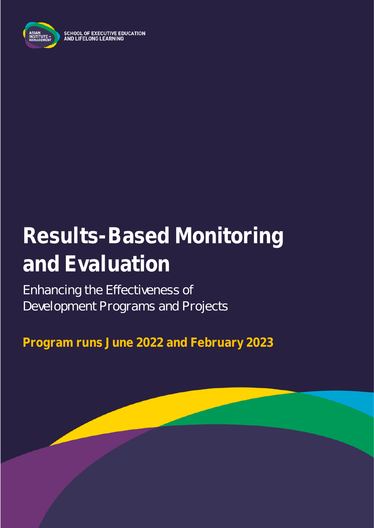

**SCHOOL OF EXECUTIVE EDUCATION<br>AND LIFELONG LEARNING** 

# **Results-Based Monitoring and Evaluation**

### Enhancing the Effectiveness of Development Programs and Projects

**Program runs June 2022 and February 2023**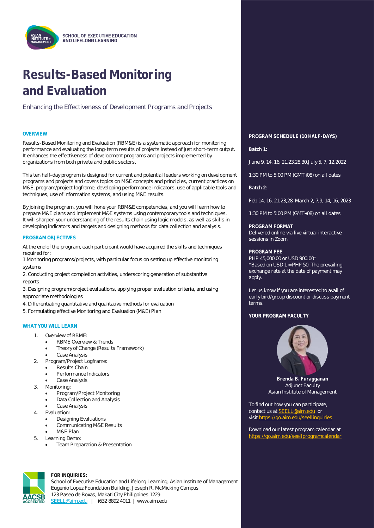

## **Results-Based Monitoring and Evaluation**

Enhancing the Effectiveness of Development Programs and Projects

Results-Based Monitoring and Evaluation (RBM&E) is a systematic approach for monitoring performance and evaluating the long-term results of projects instead of just short-term output. It enhances the effectiveness of development programs and projects implemented by organizations from both private and public sectors.

This ten half-day program is designed for current and potential leaders working on development programs and projects and covers topics on M&E concepts and principles, current practices on M&E, program/project logframe, developing performance indicators, use of applicable tools and techniques, use of information systems, and using M&E results.

By joining the program, you will hone your RBM&E competencies, and you will learn how to prepare M&E plans and implement M&E systems using contemporary tools and techniques. It will sharpen your understanding of the results chain using logic models, as well as skills in developing indicators and targets and designing methods for data collection and analysis.

#### **PROGRAM OBJECTIVES**

At the end of the program, each participant would have acquired the skills and techniques required for:

1.Monitoring programs/projects, with particular focus on setting up effective monitoring systems

2. Conducting project completion activities, underscoring generation of substantive reports

3. Designing program/project evaluations, applying proper evaluation criteria, and using appropriate methodologies

- 4. Differentiating quantitative and qualitative methods for evaluation
- 5. Formulating effective Monitoring and Evaluation (M&E) Plan

#### **WHAT YOU WILL LEARN**

- 1. Overview of RBME:
	- RBMF Overview & Trends
	- Theory of Change (Results Framework)
	- Case Analysis
- 2. Program/Project Logframe:
	- Results Chain
	- Performance Indicators
	- Case Analysis
- 3. Monitoring:
	- Program/Project Monitoring
	- Data Collection and Analysis
	- Case Analysis
- 4. Evaluation:
	- Designing Evaluations
	- Communicating M&E Results
	- M&E Plan
- 5. Learning Demo:
	- Team Preparation & Presentation



**FOR INQUIRIES:**

School of Executive Education and Lifelong Learning, Asian Institute of Management Eugenio Lopez Foundation Building, Joseph R. McMicking Campus 123 Paseo de Roxas, Makati City Philippines 1229 [SEELL@aim.edu](mailto:SEELL@aim.edu) | +632 8892 4011 | www.aim.edu

### **OVERVIEW PROGRAM SCHEDULE (10 HALF-DAYS)**

**Batch 1:**

June 9, 14, 16, 21,23,28,30,July 5, 7, 12,2022

1:30 PM to 5:00 PM (GMT+08) on all dates

**Batch 2**:

Feb 14, 16, 21,23,28, March 2, 7,9, 14, 16, 2023

1:30 PM to 5:00 PM (GMT+08) on all dates

**PROGRAM FORMAT** Delivered online via live virtual interactive sessions in Zoom

#### **PROGRAM FEE**

PHP 45,000.00 or USD 900.00\* \*Based on USD 1 = PHP 50. The prevailing exchange rate at the date of payment may apply.

Let us know if you are interested to avail of early bird/group discount or discuss payment terms.

#### YOUR PROGRAM FACULTY



**Brenda B. Furagganan** Adjunct Faculty Asian Institute of Management

To find out how you can participate, contact us at **SEELL@aim.edu** or visi[t https://go.aim.edu/seellinquiries](https://go.aim.edu/seellinquiries)

Download our latest program calendar at https://go.aim.edu/seellprogramcalend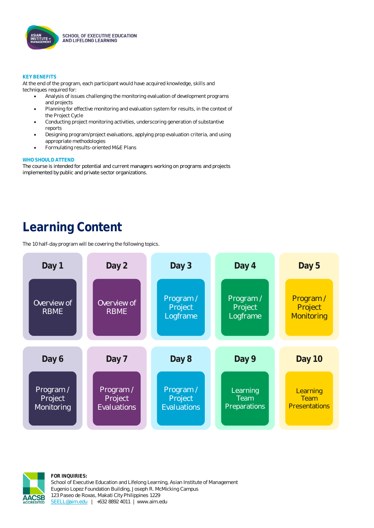

#### **KEY BENEFITS**

At the end of the program, each participant would have acquired knowledge, skills and techniques required for:

- Analysis of issues challenging the monitoring evaluation of development programs and projects
- Planning for effective monitoring and evaluation system for results, in the context of the Project Cycle
- Conducting project monitoring activities, underscoring generation of substantive reports
- Designing program/project evaluations, applying prop evaluation criteria, and using appropriate methodologies
- Formulating results-oriented M&E Plans

#### **WHO SHOULD ATTEND**

The course is intended for potential and current managers working on programs and projects implemented by public and private sector organizations.

### **Learning Content**

The 10 half-day program will be covering the following topics.





**FOR INQUIRIES:** School of Executive Education and Lifelong Learning, Asian Institute of Management Eugenio Lopez Foundation Building, Joseph R. McMicking Campus 123 Paseo de Roxas, Makati City Philippines 1229 [SEELL@aim.edu](mailto:SEELL@aim.edu) | +632 8892 4011 | www.aim.edu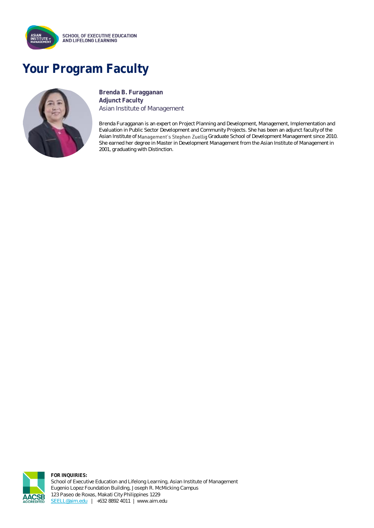

### **Your Program Faculty**



**Brenda B. Furagganan Adjunct Faculty** Asian Institute of Management

Brenda Furagganan is an expert on Project Planning and Development, Management, Implementation and Evaluation in Public Sector Development and Community Projects. She has been an adjunct faculty of the Asian Institute of Management's Stephen Zuellig Graduate School of Development Management since 2010. She earned her degree in Master in Development Management from the Asian Institute of Management in 2001, graduating with Distinction.



**FOR INQUIRIES:** School of Executive Education and Lifelong Learning, Asian Institute of Management Eugenio Lopez Foundation Building, Joseph R. McMicking Campus 123 Paseo de Roxas, Makati City Philippines 1229 [SEELL@aim.edu](mailto:SEELL@aim.edu) | +632 8892 4011 | www.aim.edu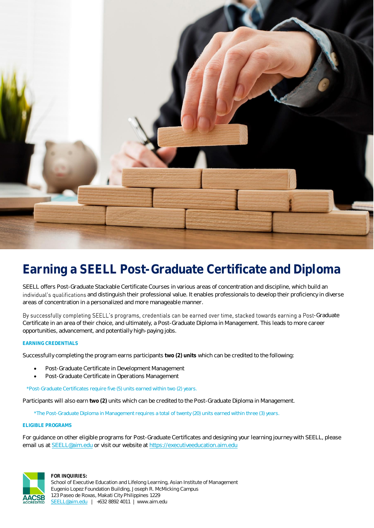

### **Earning a SEELL Post-Graduate Certificate and Diploma**

SEELL offers Post-Graduate Stackable Certificate Courses in various areas of concentration and discipline, which build an individual's qualifications and distinguish their professional value. It enables professionals to develop their proficiency in diverse areas of concentration in a personalized and more manageable manner.

By successfully completing SEELL's programs, credentials can be earned over time, stacked towards earning a Post-Graduate Certificate in an area of their choice, and ultimately, a Post-Graduate Diploma in Management. This leads to more career opportunities, advancement, and potentially high-paying jobs.

#### **EARNING CREDENTIALS**

Successfully completing the program earns participants **two (2) units** which can be credited to the following:

- Post-Graduate Certificate in Development Management
- Post-Graduate Certificate in Operations Management

\*Post-Graduate Certificates require five (5) units earned within two (2) years.

Participants will also earn **two (2)** units which can be credited to the Post-Graduate Diploma in Management.

\*The Post-Graduate Diploma in Management requires a total of twenty (20) units earned within three (3) years.

#### **ELIGIBLE PROGRAMS**

For guidance on other eligible programs for Post-Graduate Certificates and designing your learning journey with SEELL, please email us a[t SEELL@aim.edu](mailto:SEELL@aim.edu) or visit our website a[t https://executiveeducation.aim.edu](https://executiveeducation.aim.edu/)



**FOR INQUIRIES:**

School of Executive Education and Lifelong Learning, Asian Institute of Management Eugenio Lopez Foundation Building, Joseph R. McMicking Campus 123 Paseo de Roxas, Makati City Philippines 1229 [SEELL@aim.edu](mailto:SEELL@aim.edu) | +632 8892 4011 | www.aim.edu